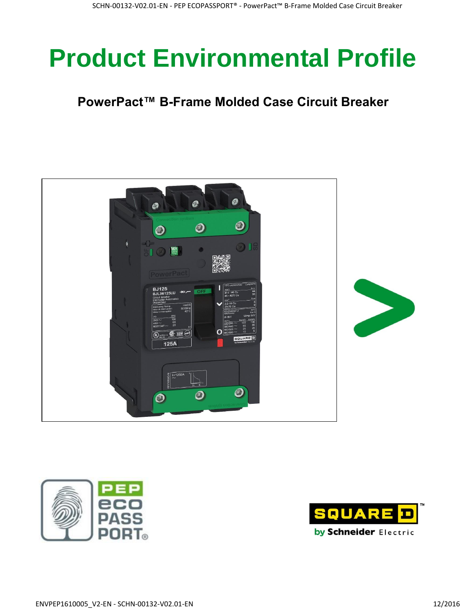# **Product Environmental Profile**

### **PowerPact™ B-Frame Molded Case Circuit Breaker**





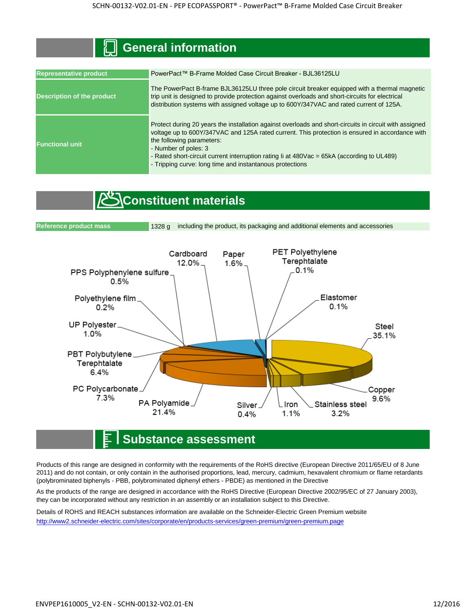| General information               |                                                                                                                                                                                                                                                                                                                                                                                                                          |  |  |  |  |  |
|-----------------------------------|--------------------------------------------------------------------------------------------------------------------------------------------------------------------------------------------------------------------------------------------------------------------------------------------------------------------------------------------------------------------------------------------------------------------------|--|--|--|--|--|
|                                   |                                                                                                                                                                                                                                                                                                                                                                                                                          |  |  |  |  |  |
| <b>Representative product</b>     | PowerPact™ B-Frame Molded Case Circuit Breaker - BJL36125LU                                                                                                                                                                                                                                                                                                                                                              |  |  |  |  |  |
| <b>Description of the product</b> | The PowerPact B-frame BJL36125LU three pole circuit breaker equipped with a thermal magnetic<br>trip unit is designed to provide protection against overloads and short-circuits for electrical<br>distribution systems with assigned voltage up to 600Y/347VAC and rated current of 125A.                                                                                                                               |  |  |  |  |  |
| <b>Functional unit</b>            | Protect during 20 years the installation against overloads and short-circuits in circuit with assigned<br>voltage up to 600Y/347VAC and 125A rated current. This protection is ensured in accordance with<br>the following parameters:<br>- Number of poles: 3<br>- Rated short-circuit current interruption rating li at 480Vac = 65kA (according to UL489)<br>- Tripping curve: long time and instantanous protections |  |  |  |  |  |

#### **Constituent materials**



#### **Substance assessment**

Products of this range are designed in conformity with the requirements of the RoHS directive (European Directive 2011/65/EU of 8 June 2011) and do not contain, or only contain in the authorised proportions, lead, mercury, cadmium, hexavalent chromium or flame retardants (polybrominated biphenyls - PBB, polybrominated diphenyl ethers - PBDE) as mentioned in the Directive

As the products of the range are designed in accordance with the RoHS Directive (European Directive 2002/95/EC of 27 January 2003), they can be incorporated without any restriction in an assembly or an installation subject to this Directive.

Details of ROHS and REACH substances information are available on the Schneider-Electric Green Premium website [http://www2.schneide](http://www2.schneider-electric.com/sites/corporate/en/products-services/green-premium/green-premium.page)r-electric.com/sites/corporate/en/products-services/green-premium/green-premium.page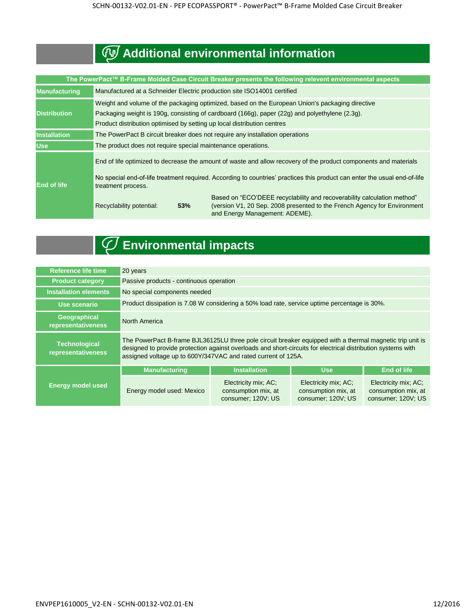## **Additional environmental information**

| The PowerPact™ B-Frame Molded Case Circuit Breaker presents the following relevent environmental aspects |                                                                                                                                                                                                                                                                              |  |  |  |  |
|----------------------------------------------------------------------------------------------------------|------------------------------------------------------------------------------------------------------------------------------------------------------------------------------------------------------------------------------------------------------------------------------|--|--|--|--|
| <b>Manufacturing</b>                                                                                     | Manufactured at a Schneider Electric production site ISO14001 certified                                                                                                                                                                                                      |  |  |  |  |
| <b>Distribution</b>                                                                                      | Weight and volume of the packaging optimized, based on the European Union's packaging directive<br>Packaging weight is 190g, consisting of cardboard (166g), paper (22g) and polyethylene (2.3g).<br>Product distribution optimised by setting up local distribution centres |  |  |  |  |
| <b>Installation</b>                                                                                      | The PowerPact B circuit breaker does not require any installation operations                                                                                                                                                                                                 |  |  |  |  |
| <b>Use</b>                                                                                               | The product does not require special maintenance operations.                                                                                                                                                                                                                 |  |  |  |  |
| <b>End of life</b>                                                                                       | End of life optimized to decrease the amount of waste and allow recovery of the product components and materials<br>No special end-of-life treatment required. According to countries' practices this product can enter the usual end-of-life<br>treatment process.          |  |  |  |  |
|                                                                                                          | Based on "ECO'DEEE recyclability and recoverability calculation method"<br>(version V1, 20 Sep. 2008 presented to the French Agency for Environment<br>Recyclability potential:<br>53%<br>and Energy Management: ADEME).                                                     |  |  |  |  |



## **Environmental impacts**

| <b>Reference life time</b>                 | 20 years                                                                                                                                                                                                                                                                                   |                                                                   |                                                                   |                                                                   |  |  |
|--------------------------------------------|--------------------------------------------------------------------------------------------------------------------------------------------------------------------------------------------------------------------------------------------------------------------------------------------|-------------------------------------------------------------------|-------------------------------------------------------------------|-------------------------------------------------------------------|--|--|
| <b>Product category</b>                    | Passive products - continuous operation                                                                                                                                                                                                                                                    |                                                                   |                                                                   |                                                                   |  |  |
| <b>Installation elements</b>               | No special components needed                                                                                                                                                                                                                                                               |                                                                   |                                                                   |                                                                   |  |  |
| Use scenario                               | Product dissipation is 7.08 W considering a 50% load rate, service uptime percentage is 30%.                                                                                                                                                                                               |                                                                   |                                                                   |                                                                   |  |  |
| Geographical<br>representativeness         | <b>North America</b>                                                                                                                                                                                                                                                                       |                                                                   |                                                                   |                                                                   |  |  |
| <b>Technological</b><br>representativeness | The PowerPact B-frame BJL36125LU three pole circuit breaker equipped with a thermal magnetic trip unit is<br>designed to provide protection against overloads and short-circuits for electrical distribution systems with<br>assigned voltage up to 600Y/347VAC and rated current of 125A. |                                                                   |                                                                   |                                                                   |  |  |
|                                            | <b>Manufacturing</b>                                                                                                                                                                                                                                                                       | <b>Installation</b>                                               | <b>Use</b>                                                        | <b>End of life</b>                                                |  |  |
| <b>Energy model used</b>                   | Energy model used: Mexico                                                                                                                                                                                                                                                                  | Electricity mix; AC;<br>consumption mix, at<br>consumer; 120V; US | Electricity mix; AC;<br>consumption mix, at<br>consumer; 120V; US | Electricity mix; AC;<br>consumption mix, at<br>consumer; 120V; US |  |  |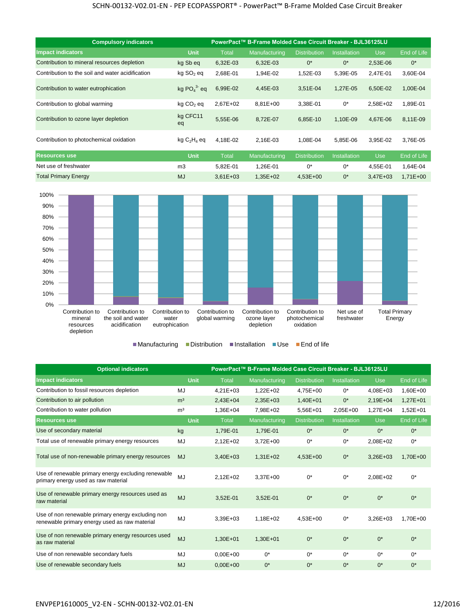| <b>Compulsory indicators</b>                     |                       | PowerPact™ B-Frame Molded Case Circuit Breaker - BJL36125LU |               |                     |                     |              |                    |
|--------------------------------------------------|-----------------------|-------------------------------------------------------------|---------------|---------------------|---------------------|--------------|--------------------|
| <b>Impact indicators</b>                         | <b>Unit</b>           | Total                                                       | Manufacturing | <b>Distribution</b> | <b>Installation</b> | Use          | End of Life        |
| Contribution to mineral resources depletion      | kg Sb eg              | 6,32E-03                                                    | 6,32E-03      | $0^*$               | $0^*$               | 2,53E-06     | $0^*$              |
| Contribution to the soil and water acidification | kg SO <sub>2</sub> eq | 2,68E-01                                                    | 1,94E-02      | 1,52E-03            | 5,39E-05            | 2,47E-01     | 3,60E-04           |
| Contribution to water eutrophication             | kg $PO43$ eg          | 6,99E-02                                                    | 4,45E-03      | 3,51E-04            | 1,27E-05            | 6,50E-02     | 1,00E-04           |
| Contribution to global warming                   | $kg CO2$ eq           | 2,67E+02                                                    | 8,81E+00      | 3,38E-01            | $0^*$               | 2.58E+02     | 1,89E-01           |
| Contribution to ozone layer depletion            | kg CFC11<br>eq        | 5,55E-06                                                    | 8,72E-07      | 6,85E-10            | 1,10E-09            | 4,67E-06     | 8,11E-09           |
| Contribution to photochemical oxidation          | $kg C2H4$ eq          | 4,18E-02                                                    | 2,16E-03      | 1,08E-04            | 5,85E-06            | 3.95E-02     | 3,76E-05           |
| <b>Resources use</b>                             | <b>Unit</b>           | <b>Total</b>                                                | Manufacturing | <b>Distribution</b> | <b>Installation</b> | <b>Use</b>   | <b>End of Life</b> |
| Net use of freshwater                            | m <sub>3</sub>        | 5,82E-01                                                    | 1,26E-01      | $0^*$               | $0^*$               | 4,55E-01     | 1,64E-04           |
| <b>Total Primary Energy</b>                      | <b>MJ</b>             | $3,61E+03$                                                  | $1,35E+02$    | $4,53E+00$          | $0^*$               | $3.47E + 03$ | $1,71E+00$         |



■Manufacturing ■Distribution ■Installation ■Use ■End of life

| <b>Optional indicators</b>                                                                         | PowerPact™ B-Frame Molded Case Circuit Breaker - BJL36125LU |              |               |                     |              |            |             |
|----------------------------------------------------------------------------------------------------|-------------------------------------------------------------|--------------|---------------|---------------------|--------------|------------|-------------|
| <b>Impact indicators</b>                                                                           | <b>Unit</b>                                                 | <b>Total</b> | Manufacturing | <b>Distribution</b> | Installation | <b>Use</b> | End of Life |
| Contribution to fossil resources depletion                                                         | MJ                                                          | $4,21E+03$   | 1,22E+02      | 4,75E+00            | $0^*$        | 4,08E+03   | 1,60E+00    |
| Contribution to air pollution                                                                      | m <sup>3</sup>                                              | 2,43E+04     | 2,35E+03      | 1,40E+01            | $0^*$        | 2,19E+04   | $1,27E+01$  |
| Contribution to water pollution                                                                    | m <sup>3</sup>                                              | 1,36E+04     | 7,98E+02      | 5,56E+01            | 2,05E+00     | $1,27E+04$ | 1,52E+01    |
| <b>Resources use</b>                                                                               | Unit                                                        | <b>Total</b> | Manufacturing | <b>Distribution</b> | Installation | <b>Use</b> | End of Life |
| Use of secondary material                                                                          | kg                                                          | 1,79E-01     | 1,79E-01      | $0^*$               | $0^*$        | $0^*$      | $0^*$       |
| Total use of renewable primary energy resources                                                    | MJ                                                          | 2,12E+02     | 3,72E+00      | $0^*$               | $0^*$        | 2,08E+02   | $0^*$       |
| Total use of non-renewable primary energy resources                                                | <b>MJ</b>                                                   | $3,40E+03$   | $1,31E+02$    | $4,53E+00$          | $0^*$        | 3,26E+03   | 1,70E+00    |
| Use of renewable primary energy excluding renewable<br>primary energy used as raw material         | MJ                                                          | 2,12E+02     | 3,37E+00      | $0^*$               | $0^*$        | 2,08E+02   | $0^*$       |
| Use of renewable primary energy resources used as<br>raw material                                  | <b>MJ</b>                                                   | 3,52E-01     | 3,52E-01      | $0^*$               | $0^*$        | $0^*$      | $0^*$       |
| Use of non renewable primary energy excluding non<br>renewable primary energy used as raw material | MJ                                                          | 3,39E+03     | 1,18E+02      | 4,53E+00            | $0^*$        | 3,26E+03   | 1,70E+00    |
| Use of non renewable primary energy resources used<br>as raw material                              | <b>MJ</b>                                                   | 1,30E+01     | $1,30E+01$    | $0^*$               | $0^*$        | $0^*$      | $0^*$       |
| Use of non renewable secondary fuels                                                               | MJ                                                          | $0.00E + 00$ | $0^*$         | $0^*$               | $0^*$        | $0^*$      | $0^*$       |
| Use of renewable secondary fuels                                                                   | <b>MJ</b>                                                   | $0.00E + 00$ | $0^*$         | $0^*$               | $0^*$        | $0^*$      | $0^*$       |